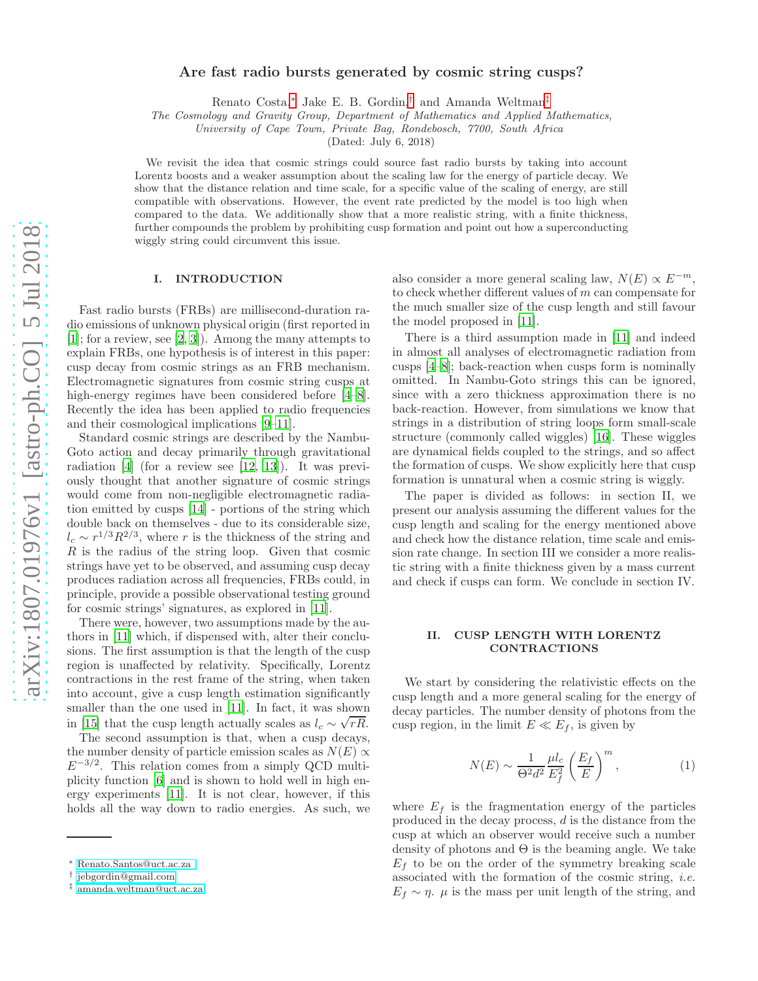# Are fast radio bursts generated by cosmic string cusps?

Renato Costa,[∗](#page-0-0) Jake E. B. Gordin,[†](#page-0-1) and Amanda Weltman[‡](#page-0-2)

The Cosmology and Gravity Group, Department of Mathematics and Applied Mathematics,

University of Cape Town, Private Bag, Rondebosch, 7700, South Africa

(Dated: July 6, 2018)

We revisit the idea that cosmic strings could source fast radio bursts by taking into account Lorentz boosts and a weaker assumption about the scaling law for the energy of particle decay. We show that the distance relation and time scale, for a specific value of the scaling of energy, are still compatible with observations. However, the event rate predicted by the model is too high when compared to the data. We additionally show that a more realistic string, with a finite thickness, further compounds the problem by prohibiting cusp formation and point out how a superconducting wiggly string could circumvent this issue.

# I. INTRODUCTION

Fast radio bursts (FRBs) are millisecond-duration radio emissions of unknown physical origin (first reported in [\[1\]](#page-4-0); for a review, see [\[2,](#page-4-1) [3\]](#page-4-2)). Among the many attempts to explain FRBs, one hypothesis is of interest in this paper: cusp decay from cosmic strings as an FRB mechanism. Electromagnetic signatures from cosmic string cusps at high-energy regimes have been considered before [\[4](#page-4-3)[–8\]](#page-4-4). Recently the idea has been applied to radio frequencies and their cosmological implications [\[9](#page-4-5)[–11\]](#page-4-6).

Standard cosmic strings are described by the Nambu-Goto action and decay primarily through gravitational radiation [\[4\]](#page-4-3) (for a review see [\[12](#page-4-7), [13\]](#page-4-8)). It was previously thought that another signature of cosmic strings would come from non-negligible electromagnetic radiation emitted by cusps [\[14\]](#page-4-9) - portions of the string which double back on themselves - due to its considerable size,  $l_c \sim r^{1/3} R^{2/3}$ , where r is the thickness of the string and R is the radius of the string loop. Given that cosmic strings have yet to be observed, and assuming cusp decay produces radiation across all frequencies, FRBs could, in principle, provide a possible observational testing ground for cosmic strings' signatures, as explored in [\[11](#page-4-6)].

There were, however, two assumptions made by the authors in [\[11\]](#page-4-6) which, if dispensed with, alter their conclusions. The first assumption is that the length of the cusp region is unaffected by relativity. Specifically, Lorentz contractions in the rest frame of the string, when taken into account, give a cusp length estimation significantly smaller than the one used in [\[11\]](#page-4-6). In fact, it was shown in [\[15](#page-4-10)] that the cusp length actually scales as  $l_c \sim \sqrt{rR}$ .

The second assumption is that, when a cusp decays, the number density of particle emission scales as  $N(E) \propto$  $E^{-3/2}$ . This relation comes from a simply QCD multiplicity function [\[6](#page-4-11)] and is shown to hold well in high energy experiments [\[11\]](#page-4-6). It is not clear, however, if this holds all the way down to radio energies. As such, we

also consider a more general scaling law,  $N(E) \propto E^{-m}$ , to check whether different values of m can compensate for the much smaller size of the cusp length and still favour the model proposed in [\[11\]](#page-4-6).

There is a third assumption made in [\[11](#page-4-6)] and indeed in almost all analyses of electromagnetic radiation from cusps [\[4](#page-4-3)[–8\]](#page-4-4); back-reaction when cusps form is nominally omitted. In Nambu-Goto strings this can be ignored, since with a zero thickness approximation there is no back-reaction. However, from simulations we know that strings in a distribution of string loops form small-scale structure (commonly called wiggles) [\[16\]](#page-4-12). These wiggles are dynamical fields coupled to the strings, and so affect the formation of cusps. We show explicitly here that cusp formation is unnatural when a cosmic string is wiggly.

The paper is divided as follows: in section II, we present our analysis assuming the different values for the cusp length and scaling for the energy mentioned above and check how the distance relation, time scale and emission rate change. In section III we consider a more realistic string with a finite thickness given by a mass current and check if cusps can form. We conclude in section IV.

# II. CUSP LENGTH WITH LORENTZ CONTRACTIONS

We start by considering the relativistic effects on the cusp length and a more general scaling for the energy of decay particles. The number density of photons from the cusp region, in the limit  $E \ll E_f$ , is given by

$$
N(E) \sim \frac{1}{\Theta^2 d^2} \frac{\mu l_c}{E_f^2} \left(\frac{E_f}{E}\right)^m,\tag{1}
$$

where  $E_f$  is the fragmentation energy of the particles produced in the decay process, d is the distance from the cusp at which an observer would receive such a number density of photons and  $\Theta$  is the beaming angle. We take  $E_f$  to be on the order of the symmetry breaking scale associated with the formation of the cosmic string, *i.e.*  $E_f \sim \eta$ .  $\mu$  is the mass per unit length of the string, and

<span id="page-0-0"></span><sup>∗</sup> [Renato.Santos@uct.ac.za](mailto:Renato.Santos@uct.ac.za )

<span id="page-0-1"></span><sup>†</sup> [jebgordin@gmail.com](mailto:jebgordin@gmail.com)

<span id="page-0-2"></span><sup>‡</sup> [amanda.weltman@uct.ac.za](mailto:amanda.weltman@uct.ac.za)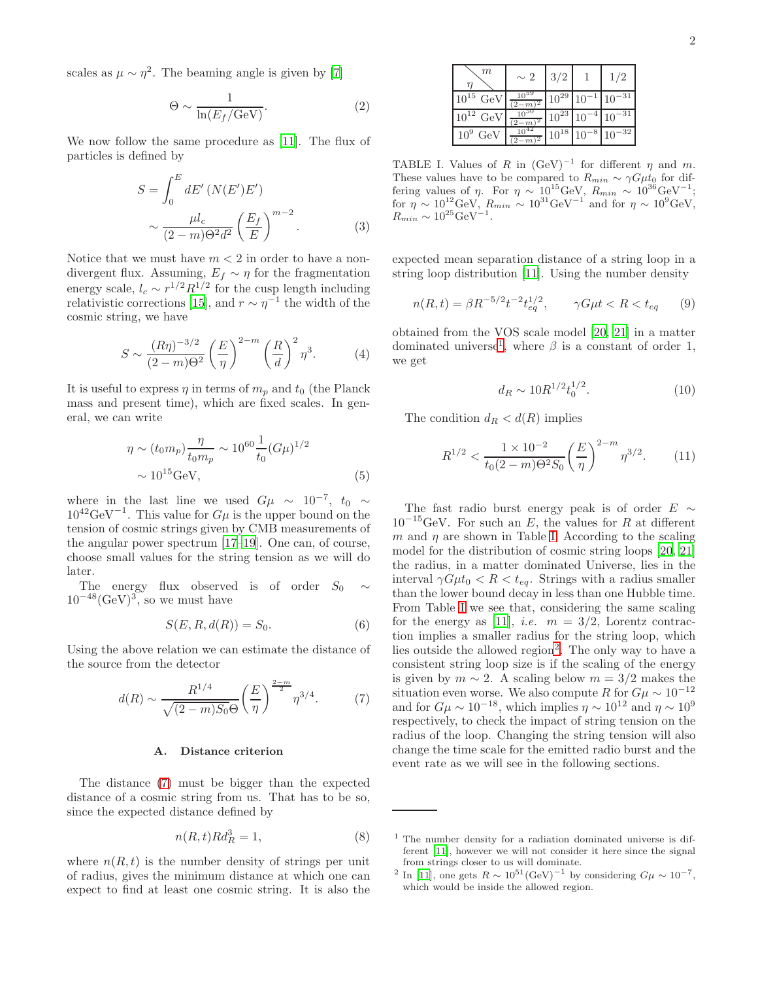scales as  $\mu \sim \eta^2$ . The beaming angle is given by [\[7\]](#page-4-13)

$$
\Theta \sim \frac{1}{\ln(E_f/\text{GeV})}.\tag{2}
$$

We now follow the same procedure as [\[11](#page-4-6)]. The flux of particles is defined by

$$
S = \int_0^E dE' \left( N(E')E' \right)
$$

$$
\sim \frac{\mu l_c}{(2-m)\Theta^2 d^2} \left( \frac{E_f}{E} \right)^{m-2} . \tag{3}
$$

Notice that we must have  $m < 2$  in order to have a nondivergent flux. Assuming,  $E_f \sim \eta$  for the fragmentation energy scale,  $l_c \sim r^{1/2} R^{1/2}$  for the cusp length including relativistic corrections [\[15](#page-4-10)], and  $r \sim \eta^{-1}$  the width of the cosmic string, we have

$$
S \sim \frac{(R\eta)^{-3/2}}{(2-m)\Theta^2} \left(\frac{E}{\eta}\right)^{2-m} \left(\frac{R}{d}\right)^2 \eta^3.
$$
 (4)

It is useful to express  $\eta$  in terms of  $m_p$  and  $t_0$  (the Planck mass and present time), which are fixed scales. In general, we can write

$$
\eta \sim (t_0 m_p) \frac{\eta}{t_0 m_p} \sim 10^{60} \frac{1}{t_0} (G\mu)^{1/2}
$$
  
 
$$
\sim 10^{15} \text{GeV}, \tag{5}
$$

where in the last line we used  $G\mu \sim 10^{-7}$ ,  $t_0 \sim$  $10^{42} \text{GeV}^{-1}$ . This value for  $G\mu$  is the upper bound on the tension of cosmic strings given by CMB measurements of the angular power spectrum [\[17](#page-4-14)[–19\]](#page-4-15). One can, of course, choose small values for the string tension as we will do later.

The energy flux observed is of order  $S_0 \sim$  $10^{-48} (\text{GeV})^3$ , so we must have

$$
S(E, R, d(R)) = S_0.
$$
\n<sup>(6)</sup>

Using the above relation we can estimate the distance of the source from the detector

<span id="page-1-0"></span>
$$
d(R) \sim \frac{R^{1/4}}{\sqrt{(2-m)S_0}\Theta} \left(\frac{E}{\eta}\right)^{\frac{2-m}{2}} \eta^{3/4}.
$$
 (7)

#### A. Distance criterion

The distance [\(7\)](#page-1-0) must be bigger than the expected distance of a cosmic string from us. That has to be so, since the expected distance defined by

$$
n(R, t)Rd_R^3 = 1,\t\t(8)
$$

where  $n(R, t)$  is the number density of strings per unit of radius, gives the minimum distance at which one can expect to find at least one cosmic string. It is also the

| m                      | $\sim 2$ | 3/2       |           | 1/2        |
|------------------------|----------|-----------|-----------|------------|
| $10^{15}$<br>GeV       | $-m$     | $10^{29}$ | $10^{-1}$ | $10^{-31}$ |
| $10^{12}$ GeV          | $-m$     | $10^{23}$ | $10^{-4}$ | $10^{-31}$ |
| 10 <sup>9</sup><br>GeV | $2-m$    | $10^{18}$ | $10^{-8}$ | $10^{-32}$ |

<span id="page-1-2"></span>TABLE I. Values of R in  $(\text{GeV})^{-1}$  for different  $\eta$  and  $m$ . These values have to be compared to  $R_{min} \sim \gamma G \mu t_0$  for differing values of  $\eta$ . For  $\eta \sim 10^{15} \text{GeV}$ ,  $R_{min} \sim 10^{36} \text{GeV}^{-1}$ ; for  $\eta \sim 10^{12} \text{GeV}$ ,  $R_{min} \sim 10^{31} \text{GeV}^{-1}$  and for  $\eta \sim 10^{9} \text{GeV}$ ,  $R_{min} \sim 10^{25} \text{GeV}^{-1}$ .

expected mean separation distance of a string loop in a string loop distribution [\[11](#page-4-6)]. Using the number density

<span id="page-1-4"></span>
$$
n(R, t) = \beta R^{-5/2} t^{-2} t_{eq}^{1/2}, \qquad \gamma G \mu t < R < t_{eq} \tag{9}
$$

obtained from the VOS scale model [\[20,](#page-4-16) [21](#page-4-17)] in a matter dominated universe<sup>[1](#page-1-1)</sup>, where  $\beta$  is a constant of order 1, we get

$$
d_R \sim 10R^{1/2} t_0^{1/2}.
$$
 (10)

The condition  $d_R < d(R)$  implies

$$
R^{1/2} < \frac{1 \times 10^{-2}}{t_0 (2 - m) \Theta^2 S_0} \left(\frac{E}{\eta}\right)^{2 - m} \eta^{3/2}.\tag{11}
$$

The fast radio burst energy peak is of order  $E \sim$  $10^{-15}$ GeV. For such an E, the values for R at different m and  $\eta$  are shown in Table [I.](#page-1-2) According to the scaling model for the distribution of cosmic string loops [\[20](#page-4-16), [21](#page-4-17)] the radius, in a matter dominated Universe, lies in the interval  $\gamma G \mu t_0 < R < t_{eq}$ . Strings with a radius smaller than the lower bound decay in less than one Hubble time. From Table [I](#page-1-2) we see that, considering the same scaling for the energy as [\[11](#page-4-6)], *i.e.*  $m = 3/2$ , Lorentz contraction implies a smaller radius for the string loop, which lies outside the allowed region<sup>[2](#page-1-3)</sup>. The only way to have a consistent string loop size is if the scaling of the energy is given by  $m \sim 2$ . A scaling below  $m = 3/2$  makes the situation even worse. We also compute R for  $G\mu \sim 10^{-12}$ and for  $G\mu \sim 10^{-18}$ , which implies  $\eta \sim 10^{12}$  and  $\eta \sim 10^{9}$ respectively, to check the impact of string tension on the radius of the loop. Changing the string tension will also change the time scale for the emitted radio burst and the event rate as we will see in the following sections.

<span id="page-1-1"></span><sup>1</sup> The number density for a radiation dominated universe is different [\[11](#page-4-6)], however we will not consider it here since the signal from strings closer to us will dominate.

<span id="page-1-3"></span><sup>&</sup>lt;sup>2</sup> In [\[11](#page-4-6)], one gets  $R \sim 10^{51} (\text{GeV})^{-1}$  by considering  $G\mu \sim 10^{-7}$ , which would be inside the allowed region.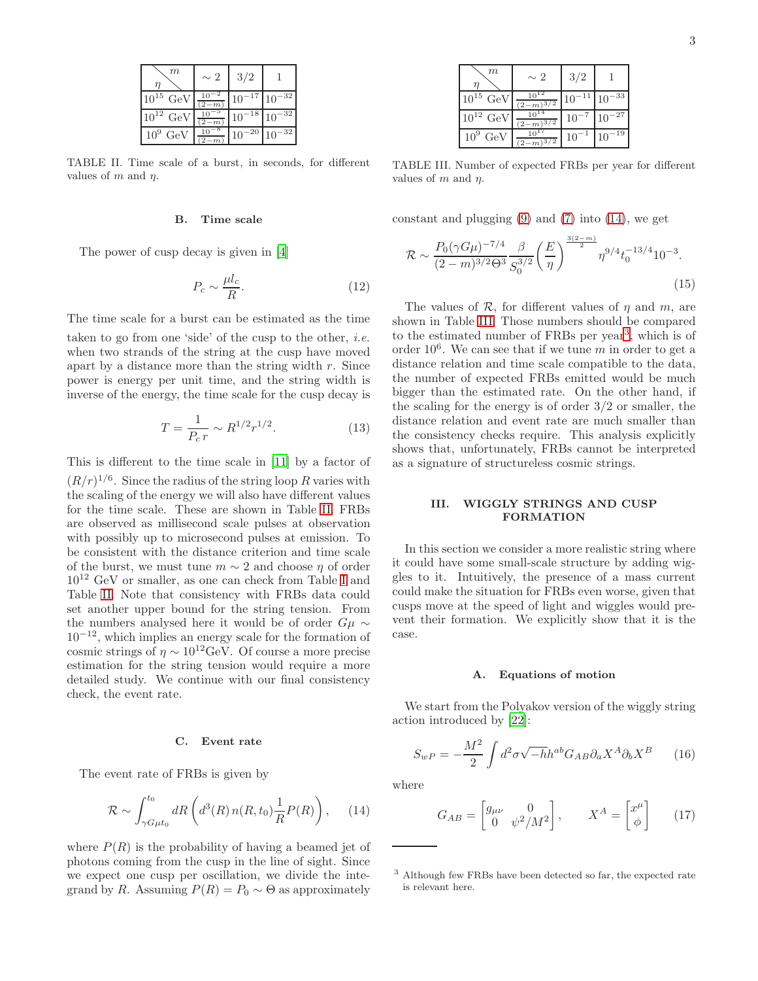| m             | $\sim 2$                    | 3/2                   |            |
|---------------|-----------------------------|-----------------------|------------|
| $10^{15}$ GeV | $10^{-2}$<br>$\overline{m}$ | $10^{-17}$ $10^{-32}$ |            |
| $10^{12}$ GeV | $-m$                        | $10^{-18}$ $10^{-32}$ |            |
| $10^9$ GeV    |                             | -20<br>10             | $10^{-32}$ |

<span id="page-2-0"></span>TABLE II. Time scale of a burst, in seconds, for different values of  $m$  and  $\eta$ .

#### B. Time scale

The power of cusp decay is given in [\[4\]](#page-4-3)

$$
P_c \sim \frac{\mu l_c}{R}.\tag{12}
$$

The time scale for a burst can be estimated as the time

taken to go from one 'side' of the cusp to the other, *i.e.* when two strands of the string at the cusp have moved apart by a distance more than the string width  $r$ . Since power is energy per unit time, and the string width is inverse of the energy, the time scale for the cusp decay is

$$
T = \frac{1}{P_c r} \sim R^{1/2} r^{1/2}.
$$
 (13)

This is different to the time scale in [\[11\]](#page-4-6) by a factor of  $(R/r)^{1/6}$ . Since the radius of the string loop R varies with the scaling of the energy we will also have different values for the time scale. These are shown in Table [II.](#page-2-0) FRBs are observed as millisecond scale pulses at observation with possibly up to microsecond pulses at emission. To be consistent with the distance criterion and time scale of the burst, we must tune  $m \sim 2$  and choose  $\eta$  of order 10<sup>12</sup> GeV or smaller, as one can check from Table [I](#page-1-2) and Table [II.](#page-2-0) Note that consistency with FRBs data could set another upper bound for the string tension. From the numbers analysed here it would be of order  $G\mu \sim$  $10^{-12}$ , which implies an energy scale for the formation of cosmic strings of  $\eta \sim 10^{12} \text{GeV}$ . Of course a more precise estimation for the string tension would require a more detailed study. We continue with our final consistency check, the event rate.

#### C. Event rate

The event rate of FRBs is given by

<span id="page-2-1"></span>
$$
\mathcal{R} \sim \int_{\gamma G\mu t_0}^{t_0} dR \left( d^3(R) n(R, t_0) \frac{1}{R} P(R) \right), \quad (14)
$$

where  $P(R)$  is the probability of having a beamed jet of photons coming from the cusp in the line of sight. Since we expect one cusp per oscillation, we divide the integrand by R. Assuming  $P(R) = P_0 \sim \Theta$  as approximately

| m                | $\sim 2$              | 3/2       |                             |
|------------------|-----------------------|-----------|-----------------------------|
| $10^{15}$<br>GeV | $\sqrt{3/2}$<br>$2-m$ |           | $^{-33}$<br>10 <sup>°</sup> |
| $10^{12}$ GeV    | 72                    | $10^{-7}$ | $-27$                       |
| $10^9$ GeV       | $\sqrt{3/2}$<br>$2-m$ | 10        | 19                          |

<span id="page-2-2"></span>TABLE III. Number of expected FRBs per year for different values of m and  $\eta$ .

constant and plugging  $(9)$  and  $(7)$  into  $(14)$ , we get

$$
\mathcal{R} \sim \frac{P_0(\gamma G \mu)^{-7/4}}{(2-m)^{3/2} \Theta^3} \frac{\beta}{S_0^{3/2}} \left(\frac{E}{\eta}\right)^{\frac{3(2-m)}{2}} \eta^{9/4} t_0^{-13/4} 10^{-3}.
$$
\n(15)

The values of  $\mathcal R$ , for different values of  $\eta$  and  $m$ , are shown in Table [III.](#page-2-2) Those numbers should be compared to the estimated number of FRBs per year<sup>[3](#page-2-3)</sup>, which is of order  $10^6$ . We can see that if we tune m in order to get a distance relation and time scale compatible to the data, the number of expected FRBs emitted would be much bigger than the estimated rate. On the other hand, if the scaling for the energy is of order 3/2 or smaller, the distance relation and event rate are much smaller than the consistency checks require. This analysis explicitly shows that, unfortunately, FRBs cannot be interpreted as a signature of structureless cosmic strings.

## III. WIGGLY STRINGS AND CUSP FORMATION

In this section we consider a more realistic string where it could have some small-scale structure by adding wiggles to it. Intuitively, the presence of a mass current could make the situation for FRBs even worse, given that cusps move at the speed of light and wiggles would prevent their formation. We explicitly show that it is the case.

#### A. Equations of motion

We start from the Polyakov version of the wiggly string action introduced by [\[22](#page-4-18)]:

$$
S_{wP} = -\frac{M^2}{2} \int d^2 \sigma \sqrt{-h} h^{ab} G_{AB} \partial_a X^A \partial_b X^B \qquad (16)
$$

where

$$
G_{AB} = \begin{bmatrix} g_{\mu\nu} & 0\\ 0 & \psi^2/M^2 \end{bmatrix}, \qquad X^A = \begin{bmatrix} x^{\mu}\\ \phi \end{bmatrix} \qquad (17)
$$

<span id="page-2-3"></span><sup>3</sup> Although few FRBs have been detected so far, the expected rate is relevant here.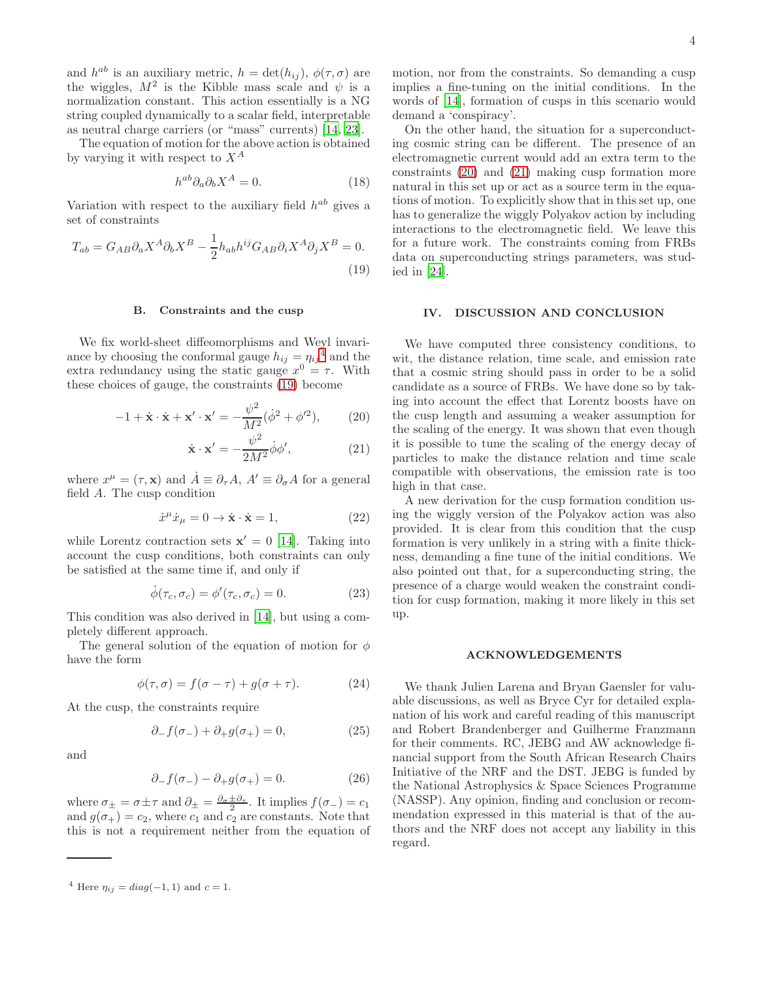and  $h^{ab}$  is an auxiliary metric,  $h = \det(h_{ij}), \phi(\tau, \sigma)$  are the wiggles,  $M^2$  is the Kibble mass scale and  $\psi$  is a normalization constant. This action essentially is a NG string coupled dynamically to a scalar field, interpretable as neutral charge carriers (or "mass" currents) [\[14](#page-4-9), [23](#page-4-19)].

The equation of motion for the above action is obtained by varying it with respect to  $X^A$ 

$$
h^{ab}\partial_a\partial_b X^A = 0.\tag{18}
$$

Variation with respect to the auxiliary field  $h^{ab}$  gives a set of constraints

<span id="page-3-1"></span>
$$
T_{ab} = G_{AB}\partial_a X^A \partial_b X^B - \frac{1}{2} h_{ab} h^{ij} G_{AB} \partial_i X^A \partial_j X^B = 0.
$$
\n(19)

# B. Constraints and the cusp

We fix world-sheet diffeomorphisms and Weyl invariance by choosing the conformal gauge  $h_{ij} = \eta_{ij}^4$  $h_{ij} = \eta_{ij}^4$  and the extra redundancy using the static gauge  $x^0 = \tau$ . With these choices of gauge, the constraints [\(19\)](#page-3-1) become

<span id="page-3-2"></span>
$$
-1 + \dot{\mathbf{x}} \cdot \dot{\mathbf{x}} + \mathbf{x}' \cdot \mathbf{x}' = -\frac{\psi^2}{M^2} (\dot{\phi}^2 + \phi'^2), \quad (20)
$$

$$
\dot{\mathbf{x}} \cdot \mathbf{x}' = -\frac{\psi^2}{2M^2} \dot{\phi} \phi',\tag{21}
$$

where  $x^{\mu} = (\tau, \mathbf{x})$  and  $\dot{A} \equiv \partial_{\tau} A$ ,  $A' \equiv \partial_{\sigma} A$  for a general field A. The cusp condition

$$
\dot{x}^{\mu}\dot{x}_{\mu} = 0 \rightarrow \dot{\mathbf{x}} \cdot \dot{\mathbf{x}} = 1, \tag{22}
$$

while Lorentz contraction sets  $\mathbf{x}' = 0$  [\[14\]](#page-4-9). Taking into account the cusp conditions, both constraints can only be satisfied at the same time if, and only if

$$
\dot{\phi}(\tau_c, \sigma_c) = \phi'(\tau_c, \sigma_c) = 0.
$$
\n(23)

This condition was also derived in [\[14\]](#page-4-9), but using a completely different approach.

The general solution of the equation of motion for  $\phi$ have the form

$$
\phi(\tau,\sigma) = f(\sigma - \tau) + g(\sigma + \tau). \tag{24}
$$

At the cusp, the constraints require

$$
\partial_{-} f(\sigma_{-}) + \partial_{+} g(\sigma_{+}) = 0, \qquad (25)
$$

and

$$
\partial_{-} f(\sigma_{-}) - \partial_{+} g(\sigma_{+}) = 0. \tag{26}
$$

where  $\sigma_{\pm} = \sigma \pm \tau$  and  $\partial_{\pm} = \frac{\partial_{\sigma} \pm \partial_{\tau}}{2}$ . It implies  $f(\sigma_{-}) = c_1$ and  $g(\sigma_+) = c_2$ , where  $c_1$  and  $c_2$  are constants. Note that this is not a requirement neither from the equation of

motion, nor from the constraints. So demanding a cusp implies a fine-tuning on the initial conditions. In the words of [\[14\]](#page-4-9), formation of cusps in this scenario would demand a 'conspiracy'.

On the other hand, the situation for a superconducting cosmic string can be different. The presence of an electromagnetic current would add an extra term to the constraints [\(20\)](#page-3-2) and [\(21\)](#page-3-2) making cusp formation more natural in this set up or act as a source term in the equations of motion. To explicitly show that in this set up, one has to generalize the wiggly Polyakov action by including interactions to the electromagnetic field. We leave this for a future work. The constraints coming from FRBs data on superconducting strings parameters, was studied in [\[24](#page-4-20)].

#### IV. DISCUSSION AND CONCLUSION

We have computed three consistency conditions, to wit, the distance relation, time scale, and emission rate that a cosmic string should pass in order to be a solid candidate as a source of FRBs. We have done so by taking into account the effect that Lorentz boosts have on the cusp length and assuming a weaker assumption for the scaling of the energy. It was shown that even though it is possible to tune the scaling of the energy decay of particles to make the distance relation and time scale compatible with observations, the emission rate is too high in that case.

A new derivation for the cusp formation condition using the wiggly version of the Polyakov action was also provided. It is clear from this condition that the cusp formation is very unlikely in a string with a finite thickness, demanding a fine tune of the initial conditions. We also pointed out that, for a superconducting string, the presence of a charge would weaken the constraint condition for cusp formation, making it more likely in this set up.

#### ACKNOWLEDGEMENTS

We thank Julien Larena and Bryan Gaensler for valuable discussions, as well as Bryce Cyr for detailed explanation of his work and careful reading of this manuscript and Robert Brandenberger and Guilherme Franzmann for their comments. RC, JEBG and AW acknowledge financial support from the South African Research Chairs Initiative of the NRF and the DST. JEBG is funded by the National Astrophysics & Space Sciences Programme (NASSP). Any opinion, finding and conclusion or recommendation expressed in this material is that of the authors and the NRF does not accept any liability in this regard.

<span id="page-3-0"></span><sup>&</sup>lt;sup>4</sup> Here  $\eta_{ij} = diag(-1, 1)$  and  $c = 1$ .